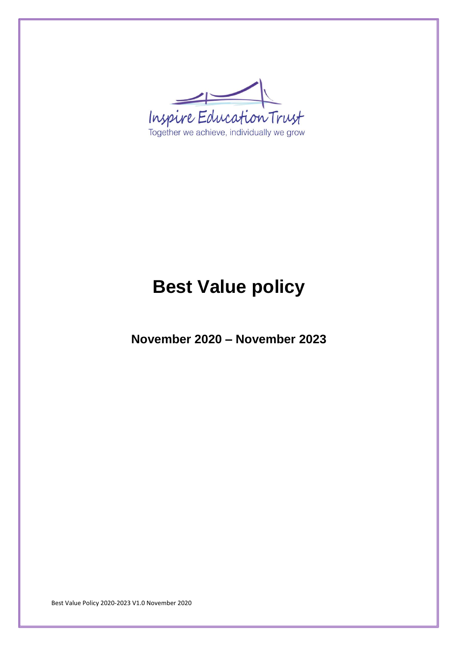

# **Best Value policy**

**November 2020 – November 2023**

Best Value Policy 2020-2023 V1.0 November 2020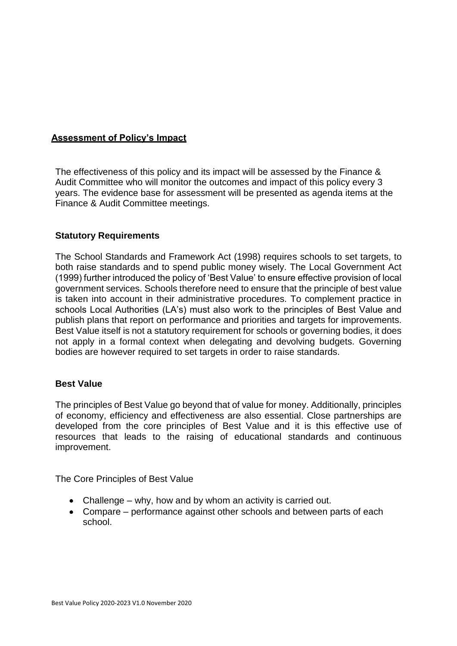## **Assessment of Policy's Impact**

The effectiveness of this policy and its impact will be assessed by the Finance & Audit Committee who will monitor the outcomes and impact of this policy every 3 years. The evidence base for assessment will be presented as agenda items at the Finance & Audit Committee meetings.

## **Statutory Requirements**

The School Standards and Framework Act (1998) requires schools to set targets, to both raise standards and to spend public money wisely. The Local Government Act (1999) further introduced the policy of 'Best Value' to ensure effective provision of local government services. Schools therefore need to ensure that the principle of best value is taken into account in their administrative procedures. To complement practice in schools Local Authorities (LA's) must also work to the principles of Best Value and publish plans that report on performance and priorities and targets for improvements. Best Value itself is not a statutory requirement for schools or governing bodies, it does not apply in a formal context when delegating and devolving budgets. Governing bodies are however required to set targets in order to raise standards.

#### **Best Value**

The principles of Best Value go beyond that of value for money. Additionally, principles of economy, efficiency and effectiveness are also essential. Close partnerships are developed from the core principles of Best Value and it is this effective use of resources that leads to the raising of educational standards and continuous improvement.

The Core Principles of Best Value

- Challenge why, how and by whom an activity is carried out.
- Compare performance against other schools and between parts of each school.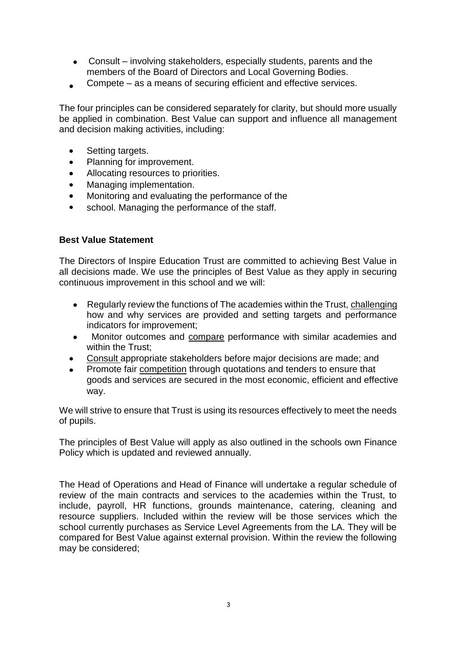- Consult involving stakeholders, especially students, parents and the members of the Board of Directors and Local Governing Bodies.
- Compete as a means of securing efficient and effective services.

The four principles can be considered separately for clarity, but should more usually be applied in combination. Best Value can support and influence all management and decision making activities, including:

- Setting targets.  $\bullet$
- Planning for improvement.  $\bullet$
- Allocating resources to priorities.  $\bullet$
- Managing implementation.  $\bullet$
- $\bullet$ Monitoring and evaluating the performance of the
- school. Managing the performance of the staff.

## **Best Value Statement**

The Directors of Inspire Education Trust are committed to achieving Best Value in all decisions made. We use the principles of Best Value as they apply in securing continuous improvement in this school and we will:

- Regularly review the functions of The academies within the Trust, challenging how and why services are provided and setting targets and performance indicators for improvement;
- Monitor outcomes and compare performance with similar academies and  $\bullet$ within the Trust;
- Consult appropriate stakeholders before major decisions are made; and
- Promote fair competition through quotations and tenders to ensure that goods and services are secured in the most economic, efficient and effective way.

We will strive to ensure that Trust is using its resources effectively to meet the needs of pupils.

The principles of Best Value will apply as also outlined in the schools own Finance Policy which is updated and reviewed annually.

The Head of Operations and Head of Finance will undertake a regular schedule of review of the main contracts and services to the academies within the Trust, to include, payroll, HR functions, grounds maintenance, catering, cleaning and resource suppliers. Included within the review will be those services which the school currently purchases as Service Level Agreements from the LA. They will be compared for Best Value against external provision. Within the review the following may be considered;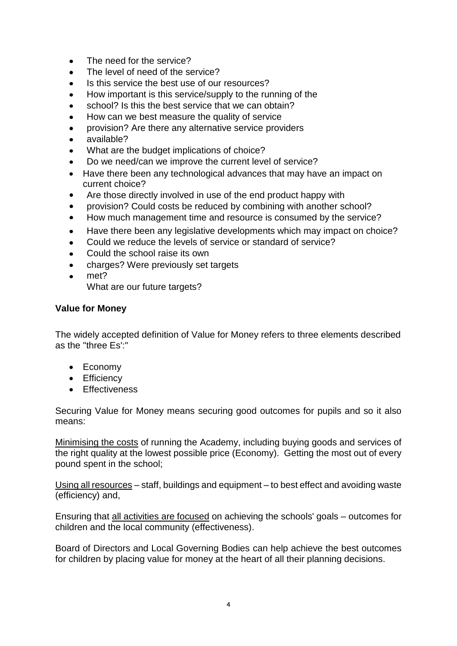- The need for the service?  $\bullet$
- The level of need of the service?
- Is this service the best use of our resources?  $\bullet$
- How important is this service/supply to the running of the
- school? Is this the best service that we can obtain?
- How can we best measure the quality of service  $\bullet$
- provision? Are there any alternative service providers
- available?
- What are the budget implications of choice?
- Do we need/can we improve the current level of service?
- Have there been any technological advances that may have an impact on current choice?
- Are those directly involved in use of the end product happy with
- provision? Could costs be reduced by combining with another school?
- How much management time and resource is consumed by the service?
- Have there been any legislative developments which may impact on choice?  $\bullet$
- Could we reduce the levels of service or standard of service?
- Could the school raise its own
- charges? Were previously set targets
- met? What are our future targets?

## **Value for Money**

The widely accepted definition of Value for Money refers to three elements described as the "three Es':"

- Economy
- Efficiency
- Effectiveness

Securing Value for Money means securing good outcomes for pupils and so it also means:

Minimising the costs of running the Academy, including buying goods and services of the right quality at the lowest possible price (Economy). Getting the most out of every pound spent in the school;

Using all resources – staff, buildings and equipment – to best effect and avoiding waste (efficiency) and,

Ensuring that all activities are focused on achieving the schools' goals – outcomes for children and the local community (effectiveness).

Board of Directors and Local Governing Bodies can help achieve the best outcomes for children by placing value for money at the heart of all their planning decisions.